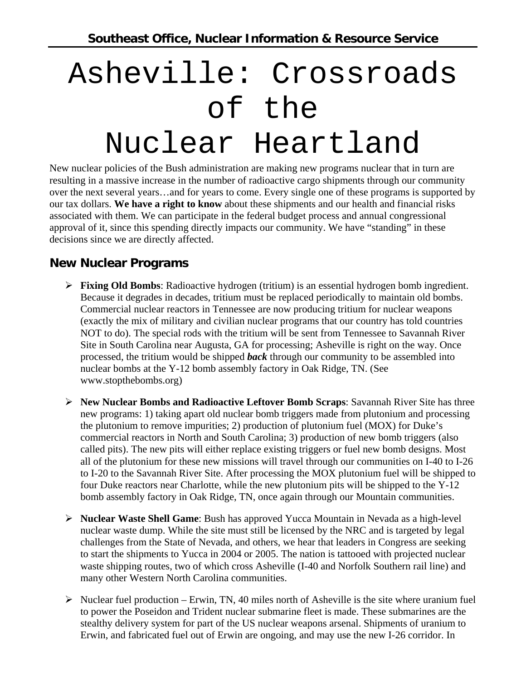## Asheville: Crossroads of the Nuclear Heartland

New nuclear policies of the Bush administration are making new programs nuclear that in turn are resulting in a massive increase in the number of radioactive cargo shipments through our community over the next several years…and for years to come. Every single one of these programs is supported by our tax dollars. **We have a right to know** about these shipments and our health and financial risks associated with them. We can participate in the federal budget process and annual congressional approval of it, since this spending directly impacts our community. We have "standing" in these decisions since we are directly affected.

## **New Nuclear Programs**

- ¾ **Fixing Old Bombs**: Radioactive hydrogen (tritium) is an essential hydrogen bomb ingredient. Because it degrades in decades, tritium must be replaced periodically to maintain old bombs. Commercial nuclear reactors in Tennessee are now producing tritium for nuclear weapons (exactly the mix of military and civilian nuclear programs that our country has told countries NOT to do). The special rods with the tritium will be sent from Tennessee to Savannah River Site in South Carolina near Augusta, GA for processing; Asheville is right on the way. Once processed, the tritium would be shipped *back* through our community to be assembled into nuclear bombs at the Y-12 bomb assembly factory in Oak Ridge, TN. (See www.stopthebombs.org)
- ¾ **New Nuclear Bombs and Radioactive Leftover Bomb Scraps**: Savannah River Site has three new programs: 1) taking apart old nuclear bomb triggers made from plutonium and processing the plutonium to remove impurities; 2) production of plutonium fuel (MOX) for Duke's commercial reactors in North and South Carolina; 3) production of new bomb triggers (also called pits). The new pits will either replace existing triggers or fuel new bomb designs. Most all of the plutonium for these new missions will travel through our communities on I-40 to I-26 to I-20 to the Savannah River Site. After processing the MOX plutonium fuel will be shipped to four Duke reactors near Charlotte, while the new plutonium pits will be shipped to the Y-12 bomb assembly factory in Oak Ridge, TN, once again through our Mountain communities.
- ¾ **Nuclear Waste Shell Game**: Bush has approved Yucca Mountain in Nevada as a high-level nuclear waste dump. While the site must still be licensed by the NRC and is targeted by legal challenges from the State of Nevada, and others, we hear that leaders in Congress are seeking to start the shipments to Yucca in 2004 or 2005. The nation is tattooed with projected nuclear waste shipping routes, two of which cross Asheville (I-40 and Norfolk Southern rail line) and many other Western North Carolina communities.
- $\triangleright$  Nuclear fuel production Erwin, TN, 40 miles north of Asheville is the site where uranium fuel to power the Poseidon and Trident nuclear submarine fleet is made. These submarines are the stealthy delivery system for part of the US nuclear weapons arsenal. Shipments of uranium to Erwin, and fabricated fuel out of Erwin are ongoing, and may use the new I-26 corridor. In